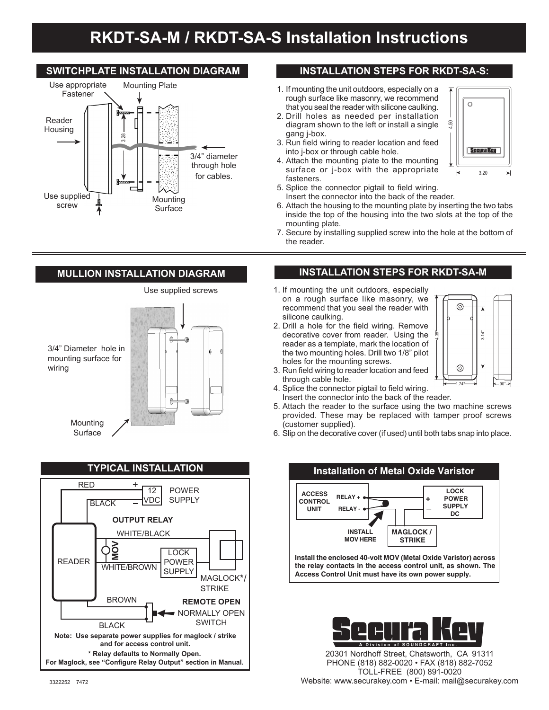# **RKDT-SA-M / RKDT-SA-S Installation Instructions**

# **SWITCHPLATE INSTALLATION DIAGRAM**



# **INSTALLATION STEPS FOR RKDT-SA-S:**

- 1. If mounting the unit outdoors, especially on a rough surface like masonry, we recommend that you seal the reader with silicone caulking.
- 2. Drill holes as needed per installation diagram shown to the left or install a single gang j-box.
- 3. Run field wiring to reader location and feed into j-box or through cable hole.
- 4. Attach the mounting plate to the mounting surface or j-box with the appropriate fasteners.
- 5. Splice the connector pigtail to field wiring. Insert the connector into the back of the reader.
- 6. Attach the housing to the mounting plate by inserting the two tabs inside the top of the housing into the two slots at the top of the mounting plate.
- 7. Secure by installing supplied screw into the hole at the bottom of the reader.

# **MULLION INSTALLATION DIAGRAM**





# **INSTALLATION STEPS FOR RKDT-SA-M**

- 1. If mounting the unit outdoors, especially on a rough surface like masonry, we recommend that you seal the reader with silicone caulking.
- 2. Drill a hole for the field wiring. Remove decorative cover from reader. Using the reader as a template, mark the location of the two mounting holes. Drill two 1/8" pilot holes for the mounting screws.



 $3.20$ 

Secura Key

4.50

¿

Ō

¿ ¿

- 3. Run field wiring to reader location and feed through cable hole.
- 4. Splice the connector pigtail to field wiring. Insert the connector into the back of the reader.
- 5. Attach the reader to the surface using the two machine screws provided. These may be replaced with tamper proof screws (customer supplied).
- 6. Slip on the decorative cover (if used) until both tabs snap into place.





20301 Nordhoff Street, Chatsworth, CA 91311 PHONE (818) 882-0020 • FAX (818) 882-7052 TOLL-FREE (800) 891-0020 Website: www.securakey.com • E-mail: mail@securakey.com